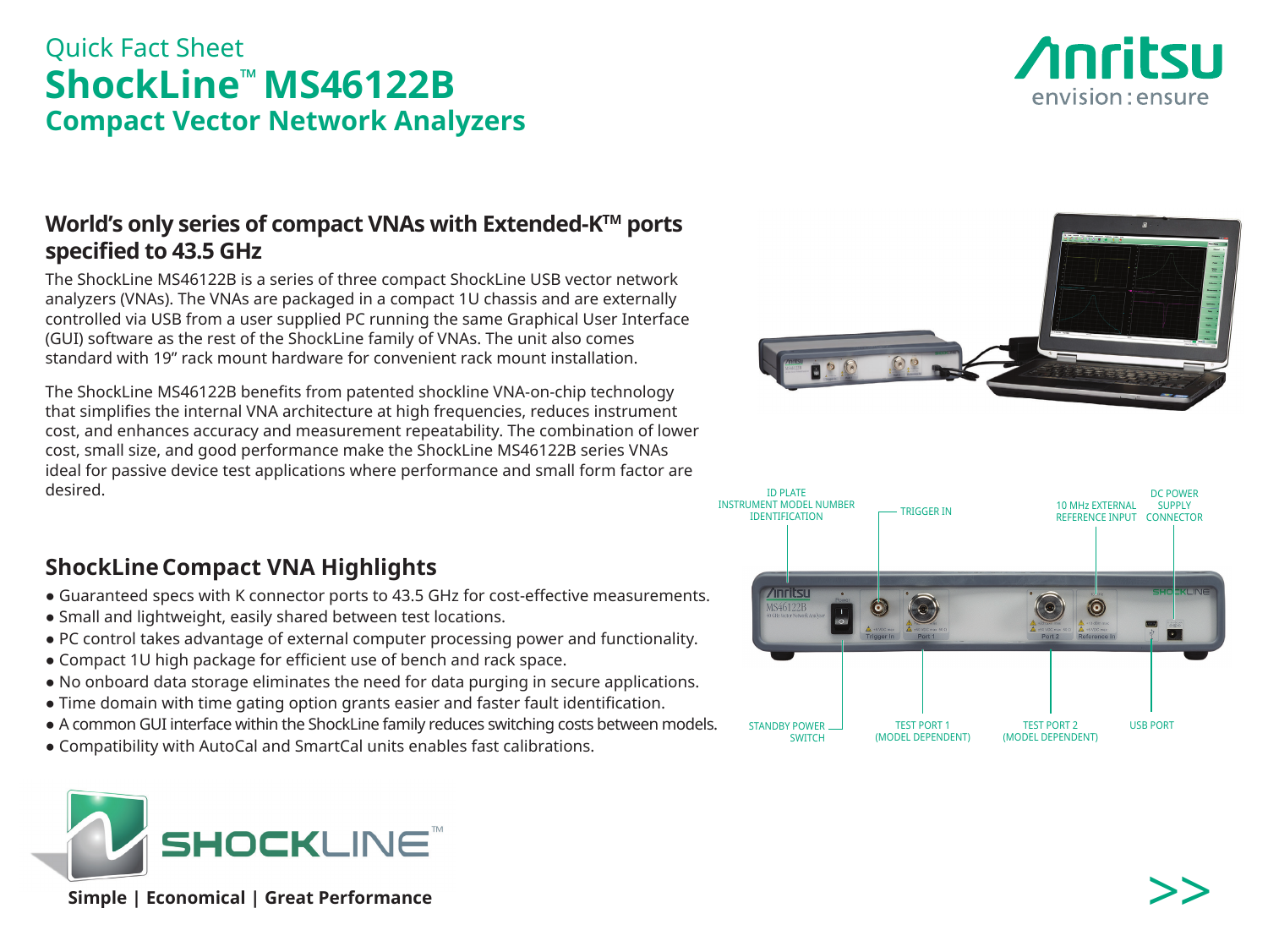# Quick Fact Sheet **ShockLine™ MS46122B Compact Vector Network Analyzers**

## **World's only series of compact VNAs with Extended-KTM ports specified to 43.5 GHz**

The ShockLine MS46122B is a series of three compact ShockLine USB vector network analyzers (VNAs). The VNAs are packaged in a compact 1U chassis and are externally controlled via USB from a user supplied PC running the same Graphical User Interface (GUI) software as the rest of the ShockLine family of VNAs. The unit also comes standard with 19" rack mount hardware for convenient rack mount installation.

The ShockLine MS46122B benefits from patented shockline VNA-on-chip technology that simplifies the internal VNA architecture at high frequencies, reduces instrument cost, and enhances accuracy and measurement repeatability. The combination of lower cost, small size, and good performance make the ShockLine MS46122B series VNAs ideal for passive device test applications where performance and small form factor are desired.

## **ShockLineCompact VNA Highlights**

- Guaranteed specs with K connector ports to 43.5 GHz for cost-effective measurements.
- Small and lightweight, easily shared between test locations.
- PC control takes advantage of external computer processing power and functionality.
- Compact 1U high package for efficient use of bench and rack space.
- No onboard data storage eliminates the need for data purging in secure applications.
- Time domain with time gating option grants easier and faster fault identification.
- A common GUI interface within the ShockLine family reduces switching costs between models.
- Compatibility with AutoCal and SmartCal units enables fast calibrations.